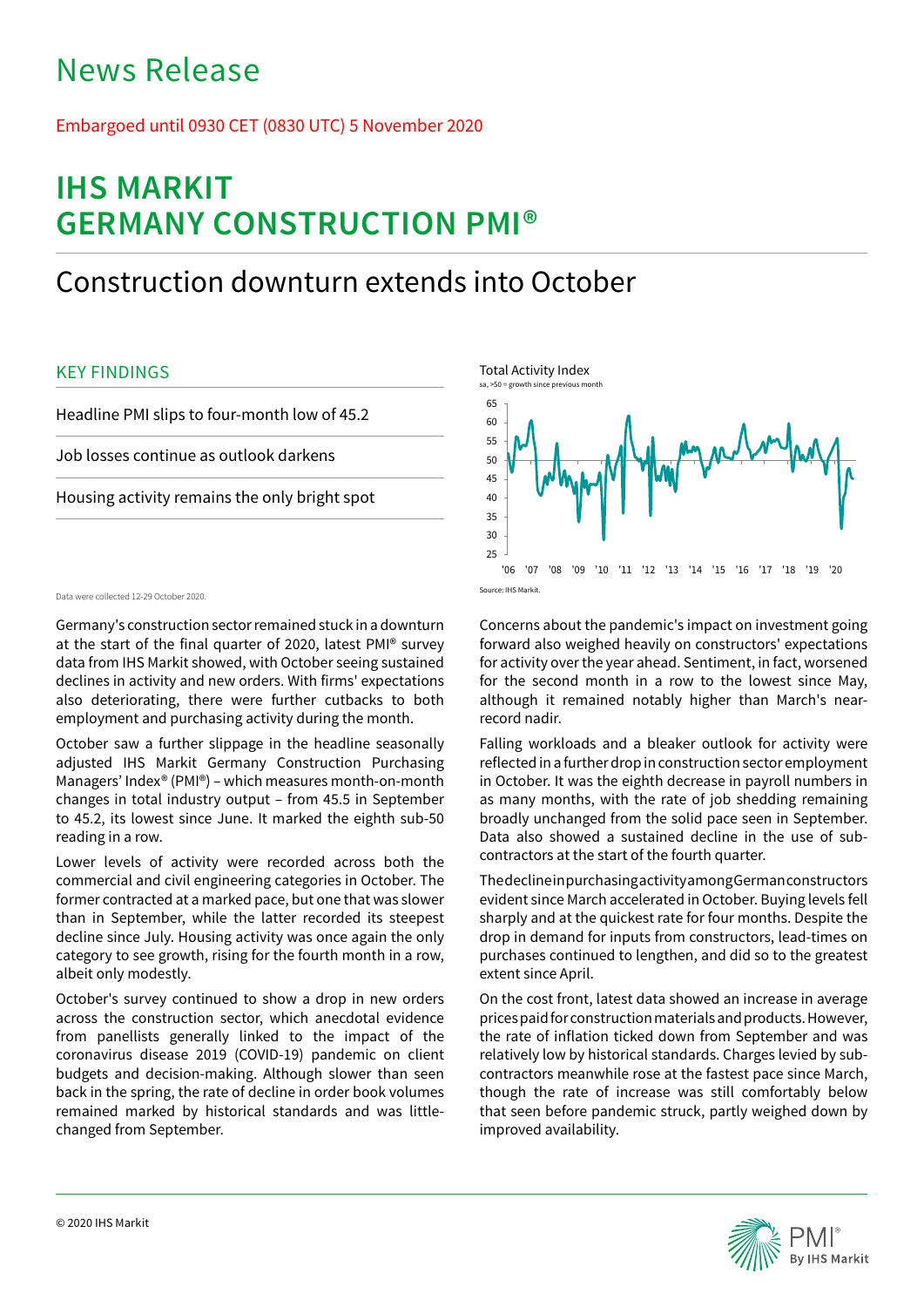# News Release

## Embargoed until 0930 CET (0830 UTC) 5 November 2020

# **IHS MARKIT GERMANY CONSTRUCTION PMI®**

# Construction downturn extends into October

## KEY FINDINGS

Headline PMI slips to four-month low of 45.2

Job losses continue as outlook darkens

Housing activity remains the only bright spot

### Data were collected 12-29 October 2020.

Germany's construction sector remained stuck in a downturn at the start of the final quarter of 2020, latest PMI® survey data from IHS Markit showed, with October seeing sustained declines in activity and new orders. With firms' expectations also deteriorating, there were further cutbacks to both employment and purchasing activity during the month.

October saw a further slippage in the headline seasonally adjusted IHS Markit Germany Construction Purchasing Managers' Index® (PMI®) – which measures month-on-month changes in total industry output – from 45.5 in September to 45.2, its lowest since June. It marked the eighth sub-50 reading in a row.

Lower levels of activity were recorded across both the commercial and civil engineering categories in October. The former contracted at a marked pace, but one that was slower than in September, while the latter recorded its steepest decline since July. Housing activity was once again the only category to see growth, rising for the fourth month in a row, albeit only modestly.

October's survey continued to show a drop in new orders across the construction sector, which anecdotal evidence from panellists generally linked to the impact of the coronavirus disease 2019 (COVID-19) pandemic on client budgets and decision-making. Although slower than seen back in the spring, the rate of decline in order book volumes remained marked by historical standards and was littlechanged from September.



Concerns about the pandemic's impact on investment going forward also weighed heavily on constructors' expectations for activity over the year ahead. Sentiment, in fact, worsened for the second month in a row to the lowest since May, although it remained notably higher than March's nearrecord nadir.

Falling workloads and a bleaker outlook for activity were reflected in a further drop in construction sector employment in October. It was the eighth decrease in payroll numbers in as many months, with the rate of job shedding remaining broadly unchanged from the solid pace seen in September. Data also showed a sustained decline in the use of subcontractors at the start of the fourth quarter.

The decline in purchasing activity among German constructors evident since March accelerated in October. Buying levels fell sharply and at the quickest rate for four months. Despite the drop in demand for inputs from constructors, lead-times on purchases continued to lengthen, and did so to the greatest extent since April.

On the cost front, latest data showed an increase in average prices paid for construction materials and products. However, the rate of inflation ticked down from September and was relatively low by historical standards. Charges levied by subcontractors meanwhile rose at the fastest pace since March, though the rate of increase was still comfortably below that seen before pandemic struck, partly weighed down by improved availability.